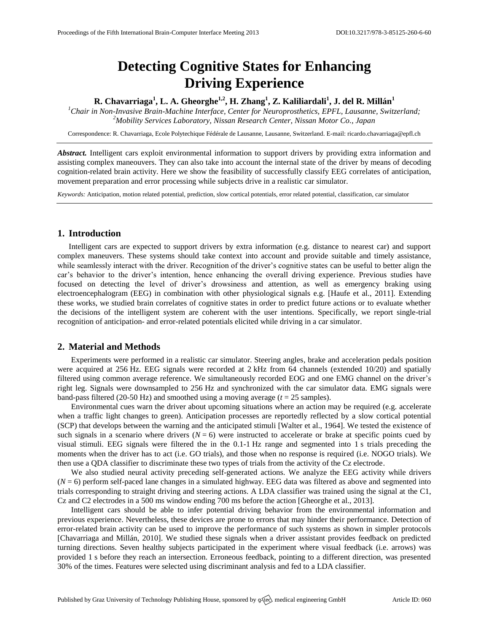# **Detecting Cognitive States for Enhancing Driving Experience**

## **R. Chavarriaga<sup>1</sup> , L. A. Gheorghe1,2, H. Zhang<sup>1</sup> , Z. Kaliliardali<sup>1</sup> , J. del R. Millán<sup>1</sup>**

*<sup>1</sup>Chair in Non-Invasive Brain-Machine Interface, Center for Neuroprosthetics, EPFL, Lausanne, Switzerland; <sup>2</sup>Mobility Services Laboratory, Nissan Research Center, Nissan Motor Co., Japan*

Correspondence: R. Chavarriaga, Ecole Polytechique Fédérale de Lausanne, Lausanne, Switzerland. E-mail[: ricardo.chavarriaga@epfl.ch](mailto:ricardo.chavarriaga@epfl.ch)

*Abstract.* Intelligent cars exploit environmental information to support drivers by providing extra information and assisting complex maneouvers. They can also take into account the internal state of the driver by means of decoding cognition-related brain activity. Here we show the feasibility of successfully classify EEG correlates of anticipation, movement preparation and error processing while subjects drive in a realistic car simulator.

*Keywords:* Anticipation, motion related potential, prediction, slow cortical potentials, error related potential, classification, car simulator

#### **1. Introduction**

Intelligent cars are expected to support drivers by extra information (e.g. distance to nearest car) and support complex maneuvers. These systems should take context into account and provide suitable and timely assistance, while seamlessly interact with the driver. Recognition of the driver's cognitive states can be useful to better align the car's behavior to the driver's intention, hence enhancing the overall driving experience. Previous studies have focused on detecting the level of driver's drowsiness and attention, as well as emergency braking using electroencephalogram (EEG) in combination with other physiological signals e.g. [Haufe et al., 2011]. Extending these works, we studied brain correlates of cognitive states in order to predict future actions or to evaluate whether the decisions of the intelligent system are coherent with the user intentions. Specifically, we report single-trial recognition of anticipation- and error-related potentials elicited while driving in a car simulator.

### **2. Material and Methods**

Experiments were performed in a realistic car simulator. Steering angles, brake and acceleration pedals position were acquired at 256 Hz. EEG signals were recorded at 2 kHz from 64 channels (extended 10/20) and spatially filtered using common average reference. We simultaneously recorded EOG and one EMG channel on the driver's right leg. Signals were downsampled to 256 Hz and synchronized with the car simulator data. EMG signals were band-pass filtered (20-50 Hz) and smoothed using a moving average (*t* = 25 samples).

Environmental cues warn the driver about upcoming situations where an action may be required (e.g. accelerate when a traffic light changes to green). Anticipation processes are reportedly reflected by a slow cortical potential (SCP) that develops between the warning and the anticipated stimuli [Walter et al., 1964]. We tested the existence of such signals in a scenario where drivers  $(N = 6)$  were instructed to accelerate or brake at specific points cued by visual stimuli. EEG signals were filtered the in the 0.1-1 Hz range and segmented into 1 s trials preceding the moments when the driver has to act (i.e. GO trials), and those when no response is required (i.e. NOGO trials). We then use a QDA classifier to discriminate these two types of trials from the activity of the Cz electrode.

We also studied neural activity preceding self-generated actions. We analyze the EEG activity while drivers (*N* = 6) perform self-paced lane changes in a simulated highway. EEG data was filtered as above and segmented into trials corresponding to straight driving and steering actions. A LDA classifier was trained using the signal at the C1, Cz and C2 electrodes in a 500 ms window ending 700 ms before the action [Gheorghe et al., 2013].

Intelligent cars should be able to infer potential driving behavior from the environmental information and previous experience. Nevertheless, these devices are prone to errors that may hinder their performance. Detection of error-related brain activity can be used to improve the performance of such systems as shown in simpler protocols [Chavarriaga and Millán, 2010]. We studied these signals when a driver assistant provides feedback on predicted turning directions. Seven healthy subjects participated in the experiment where visual feedback (i.e. arrows) was provided 1 s before they reach an intersection. Erroneous feedback, pointing to a different direction, was presented 30% of the times. Features were selected using discriminant analysis and fed to a LDA classifier.